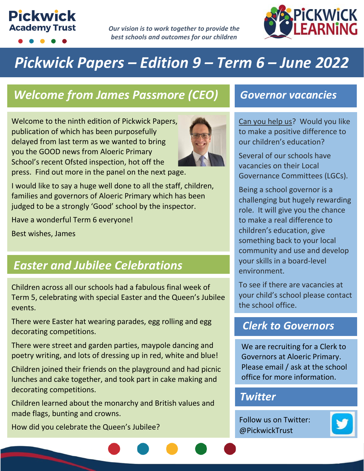# **Pickwick Academy Trust**

*Our vision is to work together to provide the best schools and outcomes for our children*



# *Pickwick Papers – Edition 9 – Term 6 – June 2022*

# *Welcome from James Passmore (CEO) Governor vacancies*

Welcome to the ninth edition of Pickwick Papers, publication of which has been purposefully delayed from last term as we wanted to bring you the GOOD news from Aloeric Primary School's recent Ofsted inspection, hot off the press. Find out more in the panel on the next page.



I would like to say a huge well done to all the staff, children, families and governors of Aloeric Primary which has been judged to be a strongly 'Good' school by the inspector.

Have a wonderful Term 6 everyone!

Best wishes, James

## *Easter and Jubilee Celebrations*

Children across all our schools had a fabulous final week of Term 5, celebrating with special Easter and the Queen's Jubilee events.

There were Easter hat wearing parades, egg rolling and egg decorating competitions.

There were street and garden parties, maypole dancing and poetry writing, and lots of dressing up in red, white and blue!

Children joined their friends on the playground and had picnic lunches and cake together, and took part in cake making and decorating competitions.

Children learned about the monarchy and British values and made flags, bunting and crowns.

How did you celebrate the Queen's Jubilee?

Can you help us? Would you like to make a positive difference to our children's education?

Several of our schools have vacancies on their Local Governance Committees (LGCs).

Being a school governor is a challenging but hugely rewarding role. It will give you the chance to make a real difference to children's education, give something back to your local community and use and develop your skills in a board-level environment.

To see if there are vacancies at your child's school please contact the school office.

#### *Clerk to Governors*

We are recruiting for a Clerk to Governors at Aloeric Primary. Please email / ask at the school office for more information.

### *Twitter*

Follow us on Twitter: @PickwickTrust